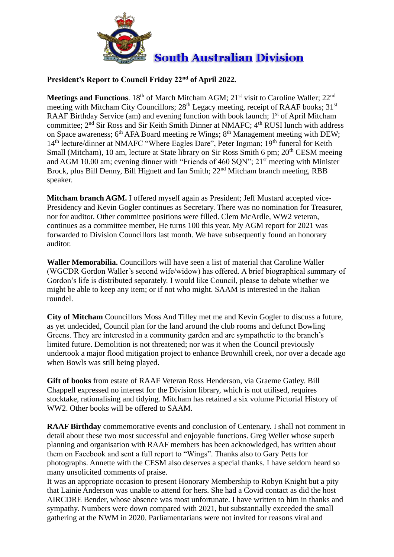

## **President's Report to Council Friday 22nd of April 2022.**

**Meetings and Functions**. 18<sup>th</sup> of March Mitcham AGM; 21<sup>st</sup> visit to Caroline Waller; 22<sup>nd</sup> meeting with Mitcham City Councillors;  $28<sup>th</sup>$  Legacy meeting, receipt of RAAF books;  $31<sup>st</sup>$ RAAF Birthday Service (am) and evening function with book launch; 1<sup>st</sup> of April Mitcham committee;  $2<sup>nd</sup>$  Sir Ross and Sir Keith Smith Dinner at NMAFC;  $4<sup>th</sup>$  RUSI lunch with address on Space awareness; 6<sup>th</sup> AFA Board meeting re Wings; 8<sup>th</sup> Management meeting with DEW; 14<sup>th</sup> lecture/dinner at NMAFC "Where Eagles Dare", Peter Ingman; 19<sup>th</sup> funeral for Keith Small (Mitcham), 10 am, lecture at State library on Sir Ross Smith 6 pm; 20<sup>th</sup> CESM meeing and AGM 10.00 am; evening dinner with "Friends of 460 SQN"; 21<sup>st</sup> meeting with Minister Brock, plus Bill Denny, Bill Hignett and Ian Smith; 22<sup>nd</sup> Mitcham branch meeting, RBB speaker.

**Mitcham branch AGM.** I offered myself again as President; Jeff Mustard accepted vice-Presidency and Kevin Gogler continues as Secretary. There was no nomination for Treasurer, nor for auditor. Other committee positions were filled. Clem McArdle, WW2 veteran, continues as a committee member, He turns 100 this year. My AGM report for 2021 was forwarded to Division Councillors last month. We have subsequently found an honorary auditor.

**Waller Memorabilia.** Councillors will have seen a list of material that Caroline Waller (WGCDR Gordon Waller's second wife/widow) has offered. A brief biographical summary of Gordon's life is distributed separately. I would like Council, please to debate whether we might be able to keep any item; or if not who might. SAAM is interested in the Italian roundel.

**City of Mitcham** Councillors Moss And Tilley met me and Kevin Gogler to discuss a future, as yet undecided, Council plan for the land around the club rooms and defunct Bowling Greens. They are interested in a community garden and are sympathetic to the branch's limited future. Demolition is not threatened; nor was it when the Council previously undertook a major flood mitigation project to enhance Brownhill creek, nor over a decade ago when Bowls was still being played.

**Gift of books** from estate of RAAF Veteran Ross Henderson, via Graeme Gatley. Bill Chappell expressed no interest for the Division library, which is not utilised, requires stocktake, rationalising and tidying. Mitcham has retained a six volume Pictorial History of WW2. Other books will be offered to SAAM.

**RAAF Birthday** commemorative events and conclusion of Centenary. I shall not comment in detail about these two most successful and enjoyable functions. Greg Weller whose superb planning and organisation with RAAF members has been acknowledged, has written about them on Facebook and sent a full report to "Wings". Thanks also to Gary Petts for photographs. Annette with the CESM also deserves a special thanks. I have seldom heard so many unsolicited comments of praise.

It was an appropriate occasion to present Honorary Membership to Robyn Knight but a pity that Lainie Anderson was unable to attend for hers. She had a Covid contact as did the host AIRCDRE Bender, whose absence was most unfortunate. I have written to him in thanks and sympathy. Numbers were down compared with 2021, but substantially exceeded the small gathering at the NWM in 2020. Parliamentarians were not invited for reasons viral and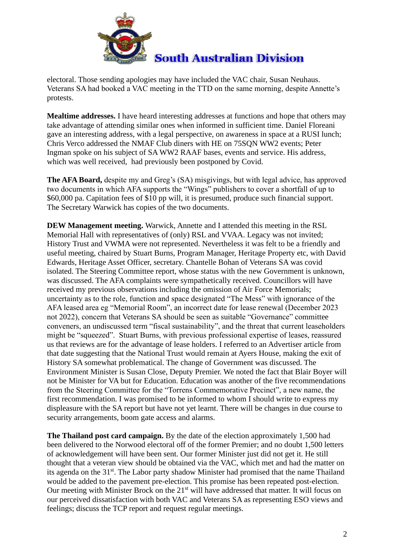

electoral. Those sending apologies may have included the VAC chair, Susan Neuhaus. Veterans SA had booked a VAC meeting in the TTD on the same morning, despite Annette's protests.

**Mealtime addresses.** I have heard interesting addresses at functions and hope that others may take advantage of attending similar ones when informed in sufficient time. Daniel Floreani gave an interesting address, with a legal perspective, on awareness in space at a RUSI lunch; Chris Verco addressed the NMAF Club diners with HE on 75SQN WW2 events; Peter Ingman spoke on his subject of SA WW2 RAAF bases, events and service. His address, which was well received, had previously been postponed by Covid.

**The AFA Board,** despite my and Greg's (SA) misgivings, but with legal advice, has approved two documents in which AFA supports the "Wings" publishers to cover a shortfall of up to \$60,000 pa. Capitation fees of \$10 pp will, it is presumed, produce such financial support. The Secretary Warwick has copies of the two documents.

**DEW Management meeting.** Warwick, Annette and I attended this meeting in the RSL Memorial Hall with representatives of (only) RSL and VVAA. Legacy was not invited; History Trust and VWMA were not represented. Nevertheless it was felt to be a friendly and useful meeting, chaired by Stuart Burns, Program Manager, Heritage Property etc, with David Edwards, Heritage Asset Officer, secretary. Chantelle Bohan of Veterans SA was covid isolated. The Steering Committee report, whose status with the new Government is unknown, was discussed. The AFA complaints were sympathetically received. Councillors will have received my previous observations including the omission of Air Force Memorials; uncertainty as to the role, function and space designated "The Mess" with ignorance of the AFA leased area eg "Memorial Room", an incorrect date for lease renewal (December 2023 not 2022), concern that Veterans SA should be seen as suitable "Governance" committee conveners, an undiscussed term "fiscal sustainability", and the threat that current leaseholders might be "squeezed". Stuart Burns, with previous professional expertise of leases, reassured us that reviews are for the advantage of lease holders. I referred to an Advertiser article from that date suggesting that the National Trust would remain at Ayers House, making the exit of History SA somewhat problematical. The change of Government was discussed. The Environment Minister is Susan Close, Deputy Premier. We noted the fact that Blair Boyer will not be Minister for VA but for Education. Education was another of the five recommendations from the Steering Committee for the "Torrens Commemorative Precinct", a new name, the first recommendation. I was promised to be informed to whom I should write to express my displeasure with the SA report but have not yet learnt. There will be changes in due course to security arrangements, boom gate access and alarms.

**The Thailand post card campaign.** By the date of the election approximately 1,500 had been delivered to the Norwood electoral off of the former Premier; and no doubt 1,500 letters of acknowledgement will have been sent. Our former Minister just did not get it. He still thought that a veteran view should be obtained via the VAC, which met and had the matter on its agenda on the 31st. The Labor party shadow Minister had promised that the name Thailand would be added to the pavement pre-election. This promise has been repeated post-election. Our meeting with Minister Brock on the 21<sup>st</sup> will have addressed that matter. It will focus on our perceived dissatisfaction with both VAC and Veterans SA as representing ESO views and feelings; discuss the TCP report and request regular meetings.